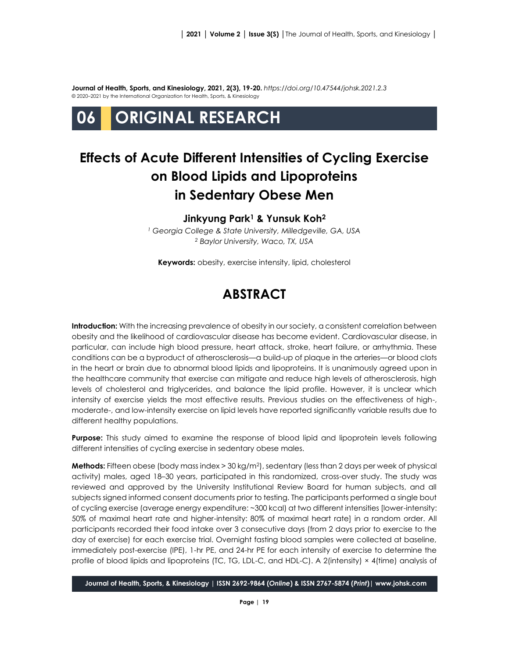**Journal of Health, Sports, and Kinesiology, 2021, 2(3), 19-20.** *<https://doi.org/10.47544/johsk.2021.2.3>* © 2020–2021 by the International Organization for Health, Sports, & Kinesiology

# **06 ORIGINAL RESEARCH**

## **Effects of Acute Different Intensities of Cycling Exercise on Blood Lipids and Lipoproteins in Sedentary Obese Men**

#### **Jinkyung Park<sup>1</sup> & Yunsuk Koh<sup>2</sup>**

*<sup>1</sup> Georgia College & State University, Milledgeville, GA, USA <sup>2</sup> Baylor University, Waco, TX, USA*

**Keywords:** obesity, exercise intensity, lipid, cholesterol

## **ABSTRACT**

**Introduction:** With the increasing prevalence of obesity in our society, a consistent correlation between obesity and the likelihood of cardiovascular disease has become evident. Cardiovascular disease, in particular, can include high blood pressure, heart attack, stroke, heart failure, or arrhythmia. These conditions can be a byproduct of atherosclerosis—a build-up of plaque in the arteries—or blood clots in the heart or brain due to abnormal blood lipids and lipoproteins. It is unanimously agreed upon in the healthcare community that exercise can mitigate and reduce high levels of atherosclerosis, high levels of cholesterol and triglycerides, and balance the lipid profile. However, it is unclear which intensity of exercise yields the most effective results. Previous studies on the effectiveness of high-, moderate-, and low-intensity exercise on lipid levels have reported significantly variable results due to different healthy populations.

**Purpose:** This study aimed to examine the response of blood lipid and lipoprotein levels following different intensities of cycling exercise in sedentary obese males.

**Methods:** Fifteen obese (body mass index > 30 kg/m<sup>2</sup> ), sedentary (less than 2 days per week of physical activity) males, aged 18–30 years, participated in this randomized, cross-over study. The study was reviewed and approved by the University Institutional Review Board for human subjects, and all subjects signed informed consent documents prior to testing. The participants performed a single bout of cycling exercise (average energy expenditure: ~300 kcal) at two different intensities [lower-intensity: 50% of maximal heart rate and higher-intensity: 80% of maximal heart rate] in a random order. All participants recorded their food intake over 3 consecutive days (from 2 days prior to exercise to the day of exercise) for each exercise trial. Overnight fasting blood samples were collected at baseline, immediately post-exercise (IPE), 1-hr PE, and 24-hr PE for each intensity of exercise to determine the profile of blood lipids and lipoproteins (TC, TG, LDL-C, and HDL-C). A 2(intensity) × 4(time) analysis of

**Journal of Health, Sports, & Kinesiology | ISSN 2692-9864 (***Online***) & ISSN 2767-5874 (***Print***)| www.johsk.com**